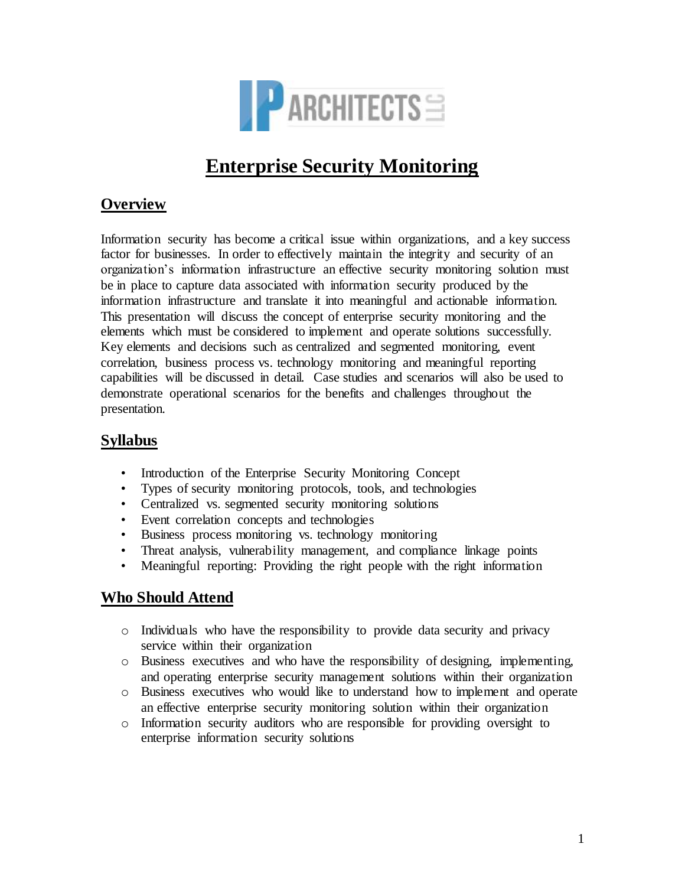

# **Enterprise Security Monitoring**

# **Overview**

Information security has become a critical issue within organizations, and a key success factor for businesses. In order to effectively maintain the integrity and security of an organization's information infrastructure an effective security monitoring solution must be in place to capture data associated with information security produced by the information infrastructure and translate it into meaningful and actionable information. This presentation will discuss the concept of enterprise security monitoring and the elements which must be considered to implement and operate solutions successfully. Key elements and decisions such as centralized and segmented monitoring, event correlation, business process vs. technology monitoring and meaningful reporting capabilities will be discussed in detail. Case studies and scenarios will also be used to demonstrate operational scenarios for the benefits and challenges throughout the presentation.

#### **Syllabus**

- Introduction of the Enterprise Security Monitoring Concept
- Types of security monitoring protocols, tools, and technologies
- Centralized vs. segmented security monitoring solutions
- Event correlation concepts and technologies
- Business process monitoring vs. technology monitoring
- Threat analysis, vulnerability management, and compliance linkage points
- Meaningful reporting: Providing the right people with the right information

### **Who Should Attend**

- o Individuals who have the responsibility to provide data security and privacy service within their organization
- o Business executives and who have the responsibility of designing, implementing, and operating enterprise security management solutions within their organization
- o Business executives who would like to understand how to implement and operate an effective enterprise security monitoring solution within their organization
- o Information security auditors who are responsible for providing oversight to enterprise information security solutions